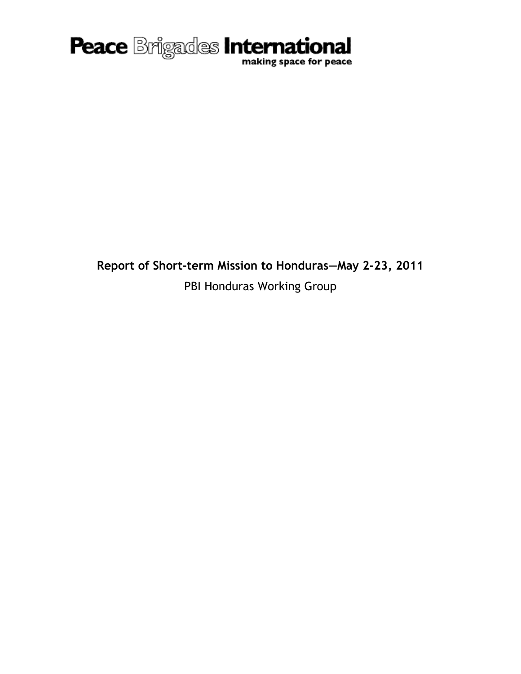

**Report of Short-term Mission to Honduras—May 2-23, 2011** PBI Honduras Working Group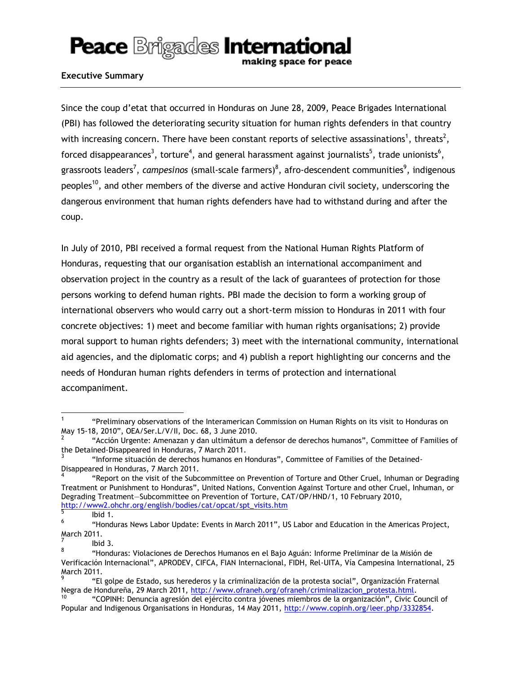making space for peace

#### **Executive Summary**

Since the coup d'etat that occurred in Honduras on June 28, 2009, Peace Brigades International (PBI) has followed the deteriorating security situation for human rights defenders in that country with increasing concern. There have been constant reports of selective assassinations<sup>1</sup>, threats<sup>2</sup>, forced disappearances<sup>3</sup>, torture<sup>4</sup>, and general harassment against journalists<sup>5</sup>, trade unionists<sup>6</sup>, grassroots leaders<sup>7</sup>, *campesinos* (small-scale farmers)<sup>8</sup>, afro-descendent communities<sup>9</sup>, indigenous peoples<sup>10</sup>, and other members of the diverse and active Honduran civil society, underscoring the dangerous environment that human rights defenders have had to withstand during and after the coup.

In July of 2010, PBI received a formal request from the National Human Rights Platform of Honduras, requesting that our organisation establish an international accompaniment and observation project in the country as a result of the lack of guarantees of protection for those persons working to defend human rights. PBI made the decision to form a working group of international observers who would carry out a short-term mission to Honduras in 2011 with four concrete objectives: 1) meet and become familiar with human rights organisations; 2) provide moral support to human rights defenders; 3) meet with the international community, international aid agencies, and the diplomatic corps; and 4) publish a report highlighting our concerns and the needs of Honduran human rights defenders in terms of protection and international accompaniment.

l

<sup>1</sup> "Preliminary observations of the Interamerican Commission on Human Rights on its visit to Honduras on May 15-18, 2010", OEA/Ser.L/V/II, Doc. 68, 3 June 2010.

<sup>2</sup> "Acción Urgente: Amenazan y dan ultimátum a defensor de derechos humanos", Committee of Families of the Detained-Disappeared in Honduras, 7 March 2011.

<sup>3</sup> "Informe situación de derechos humanos en Honduras", Committee of Families of the Detained-Disappeared in Honduras, 7 March 2011.

<sup>4</sup> "Report on the visit of the Subcommittee on Prevention of Torture and Other Cruel, Inhuman or Degrading Treatment or Punishment to Honduras", United Nations, Convention Against Torture and other Cruel, Inhuman, or Degrading Treatment—Subcommittee on Prevention of Torture, CAT/OP/HND/1, 10 February 2010, [http://www2.ohchr.org/english/bodies/cat/opcat/spt\\_visits.htm](http://www2.ohchr.org/english/bodies/cat/opcat/spt_visits.htm)

<sup>5</sup> Ibid 1.

<sup>6</sup> "Honduras News Labor Update: Events in March 2011", US Labor and Education in the Americas Project, March 2011.

<sup>7</sup> Ibid 3.

<sup>8</sup> "Honduras: Violaciones de Derechos Humanos en el Bajo Aguán: Informe Preliminar de la Misión de Verificación Internacional", APRODEV, CIFCA, FIAN Internacional, FIDH, Rel-UITA, Vía Campesina International, 25 March 2011.

<sup>9</sup> "El golpe de Estado, sus herederos y la criminalización de la protesta social", Organización Fraternal Negra de Hondureña, 29 March 2011, [http://www.ofraneh.org/ofraneh/criminalizacion\\_protesta.html.](http://www.ofraneh.org/ofraneh/criminalizacion_protesta.html)

<sup>10</sup> "COPINH: Denuncia agresión del ejército contra jóvenes miembros de la organización", Civic Council of Popular and Indigenous Organisations in Honduras, 14 May 2011, [http://www.copinh.org/leer.php/3332854.](http://www.copinh.org/leer.php/3332854)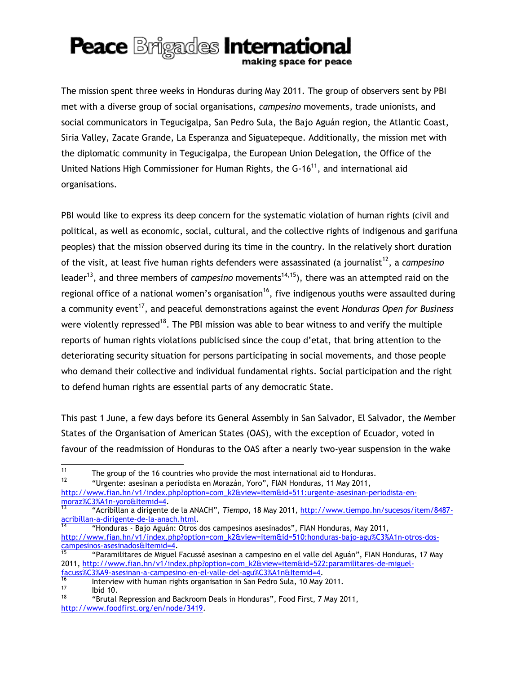making space for peace

The mission spent three weeks in Honduras during May 2011. The group of observers sent by PBI met with a diverse group of social organisations, *campesino* movements, trade unionists, and social communicators in Tegucigalpa, San Pedro Sula, the Bajo Aguán region, the Atlantic Coast, Siria Valley, Zacate Grande, La Esperanza and Siguatepeque. Additionally, the mission met with the diplomatic community in Tegucigalpa, the European Union Delegation, the Office of the United Nations High Commissioner for Human Rights, the  $G-16^{11}$ , and international aid organisations.

PBI would like to express its deep concern for the systematic violation of human rights (civil and political, as well as economic, social, cultural, and the collective rights of indigenous and garifuna peoples) that the mission observed during its time in the country. In the relatively short duration of the visit, at least five human rights defenders were assassinated (a journalist<sup>12</sup>, a *campesino* leader<sup>13</sup>, and three members of *campesino* movements<sup>14,15</sup>), there was an attempted raid on the regional office of a national women's organisation<sup>16</sup>, five indigenous youths were assaulted during a community event<sup>17</sup>, and peaceful demonstrations against the event *Honduras Open for Business* were violently repressed<sup>18</sup>. The PBI mission was able to bear witness to and verify the multiple reports of human rights violations publicised since the coup d'etat, that bring attention to the deteriorating security situation for persons participating in social movements, and those people who demand their collective and individual fundamental rights. Social participation and the right to defend human rights are essential parts of any democratic State.

This past 1 June, a few days before its General Assembly in San Salvador, El Salvador, the Member States of the Organisation of American States (OAS), with the exception of Ecuador, voted in favour of the readmission of Honduras to the OAS after a nearly two-year suspension in the wake

<sup>12</sup> "Urgente: asesinan a periodista en Morazán, Yoro", FIAN Honduras, 11 May 2011,

[http://www.fian.hn/v1/index.php?option=com\\_k2&view=item&id=511:urgente-asesinan-periodista-en](http://www.fian.hn/v1/index.php?option=com_k2&view=item&id=511:urgente-asesinan-periodista-en-morazán-yoro&Itemid=4)[moraz%C3%A1n-yoro&Itemid=4.](http://www.fian.hn/v1/index.php?option=com_k2&view=item&id=511:urgente-asesinan-periodista-en-morazán-yoro&Itemid=4)

 $11$ <sup>11</sup> The group of the 16 countries who provide the most international aid to Honduras.<br><sup>12</sup> *Hondurasta sections a pariodiste on Horazón*, *Norgii*, FIAN Handuras, 44 Hou 2044.

<sup>13</sup> "Acribillan a dirigente de la ANACH", *Tiempo*, 18 May 2011, [http://www.tiempo.hn/sucesos/item/8487](http://www.tiempo.hn/sucesos/item/8487-acribillan-a-dirigente-de-la-anach.html) [acribillan-a-dirigente-de-la-anach.html.](http://www.tiempo.hn/sucesos/item/8487-acribillan-a-dirigente-de-la-anach.html)

<sup>14</sup> "Honduras - Bajo Aguán: Otros dos campesinos asesinados", FIAN Honduras, May 2011, [http://www.fian.hn/v1/index.php?option=com\\_k2&view=item&id=510:honduras-bajo-agu%C3%A1n-otros-dos](http://www.fian.hn/v1/index.php?option=com_k2&view=item&id=510:honduras-bajo-aguán-otros-dos-campesinos-asesinados&Itemid=4)[campesinos-asesinados&Itemid=4.](http://www.fian.hn/v1/index.php?option=com_k2&view=item&id=510:honduras-bajo-aguán-otros-dos-campesinos-asesinados&Itemid=4)

<sup>15</sup> "Paramilitares de Miguel Facussé asesinan a campesino en el valle del Aguán", FIAN Honduras, 17 May 2011, [http://www.fian.hn/v1/index.php?option=com\\_k2&view=item&id=522:paramilitares-de-miguel](http://www.fian.hn/v1/index.php?option=com_k2&view=item&id=522:paramilitares-de-miguel-facussé-asesinan-a-campesino-en-el-valle-del-aguán&Itemid=4)[facuss%C3%A9-asesinan-a-campesino-en-el-valle-del-agu%C3%A1n&Itemid=4.](http://www.fian.hn/v1/index.php?option=com_k2&view=item&id=522:paramilitares-de-miguel-facussé-asesinan-a-campesino-en-el-valle-del-aguán&Itemid=4)

 $\frac{16}{16}$  Interview with human rights organisation in San Pedro Sula, 10 May 2011.  $\frac{17}{18}$  Ibid 10.

<sup>18</sup> "Brutal Repression and Backroom Deals in Honduras", Food First, 7 May 2011, [http://www.foodfirst.org/en/node/3419.](http://www.foodfirst.org/en/node/3419)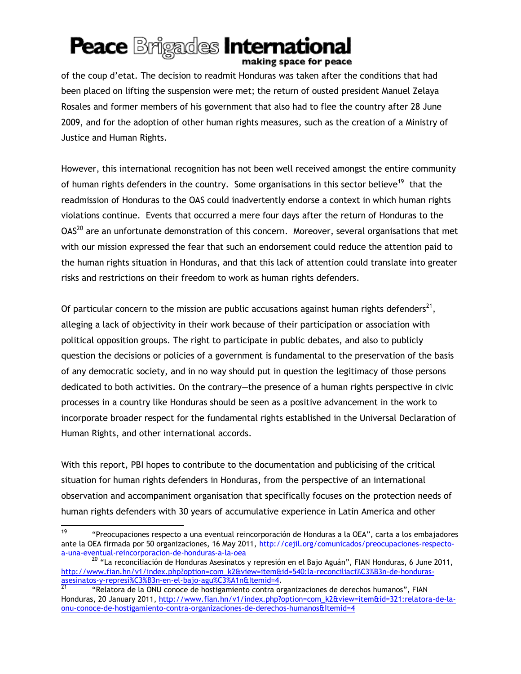### **Peace Brigades International** making space for peace

of the coup d'etat. The decision to readmit Honduras was taken after the conditions that had been placed on lifting the suspension were met; the return of ousted president Manuel Zelaya Rosales and former members of his government that also had to flee the country after 28 June 2009, and for the adoption of other human rights measures, such as the creation of a Ministry of Justice and Human Rights.

However, this international recognition has not been well received amongst the entire community of human rights defenders in the country. Some organisations in this sector believe<sup>19</sup> that the readmission of Honduras to the OAS could inadvertently endorse a context in which human rights violations continue. Events that occurred a mere four days after the return of Honduras to the  $OAS<sup>20</sup>$  are an unfortunate demonstration of this concern. Moreover, several organisations that met with our mission expressed the fear that such an endorsement could reduce the attention paid to the human rights situation in Honduras, and that this lack of attention could translate into greater risks and restrictions on their freedom to work as human rights defenders.

Of particular concern to the mission are public accusations against human rights defenders<sup>21</sup>, alleging a lack of objectivity in their work because of their participation or association with political opposition groups. The right to participate in public debates, and also to publicly question the decisions or policies of a government is fundamental to the preservation of the basis of any democratic society, and in no way should put in question the legitimacy of those persons dedicated to both activities. On the contrary—the presence of a human rights perspective in civic processes in a country like Honduras should be seen as a positive advancement in the work to incorporate broader respect for the fundamental rights established in the Universal Declaration of Human Rights, and other international accords.

With this report, PBI hopes to contribute to the documentation and publicising of the critical situation for human rights defenders in Honduras, from the perspective of an international observation and accompaniment organisation that specifically focuses on the protection needs of human rights defenders with 30 years of accumulative experience in Latin America and other

<sup>19</sup> <sup>19</sup> "Preocupaciones respecto a una eventual reincorporación de Honduras a la OEA", carta a los embajadores ante la OEA firmada por 50 organizaciones, 16 May 2011, [http://cejil.org/comunicados/preocupaciones-respecto](http://cejil.org/comunicados/preocupaciones-respecto-a-una-eventual-reincorporacion-de-honduras-a-la-oea)[a-una-eventual-reincorporacion-de-honduras-a-la-oea](http://cejil.org/comunicados/preocupaciones-respecto-a-una-eventual-reincorporacion-de-honduras-a-la-oea)

<sup>20 &</sup>quot;La reconciliación de Honduras Asesinatos y represión en el Bajo Aguán", FIAN Honduras, 6 June 2011, [http://www.fian.hn/v1/index.php?option=com\\_k2&view=item&id=540:la-reconciliaci%C3%B3n-de-honduras](http://www.fian.hn/v1/index.php?option=com_k2&view=item&id=540:la-reconciliaci%C3%B3n-de-honduras-asesinatos-y-represi%C3%B3n-en-el-bajo-agu%C3%A1n&Itemid=4)[asesinatos-y-represi%C3%B3n-en-el-bajo-agu%C3%A1n&Itemid=4.](http://www.fian.hn/v1/index.php?option=com_k2&view=item&id=540:la-reconciliaci%C3%B3n-de-honduras-asesinatos-y-represi%C3%B3n-en-el-bajo-agu%C3%A1n&Itemid=4)

<sup>21</sup> "Relatora de la ONU conoce de hostigamiento contra organizaciones de derechos humanos", FIAN Honduras, 20 January 2011[, http://www.fian.hn/v1/index.php?option=com\\_k2&view=item&id=321:relatora-de-la](http://www.fian.hn/v1/index.php?option=com_k2&view=item&id=321:relatora-de-la-onu-conoce-de-hostigamiento-contra-organizaciones-de-derechos-humanos&Itemid=4)[onu-conoce-de-hostigamiento-contra-organizaciones-de-derechos-humanos&Itemid=4](http://www.fian.hn/v1/index.php?option=com_k2&view=item&id=321:relatora-de-la-onu-conoce-de-hostigamiento-contra-organizaciones-de-derechos-humanos&Itemid=4)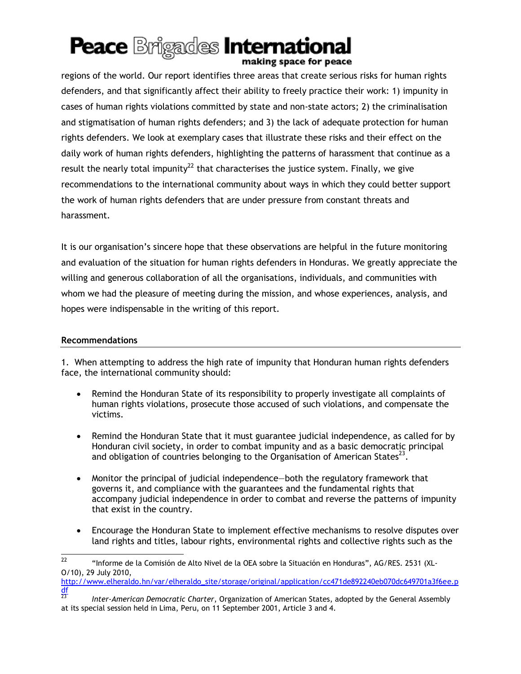### Peace **Brigades** International making space for peace

regions of the world. Our report identifies three areas that create serious risks for human rights defenders, and that significantly affect their ability to freely practice their work: 1) impunity in cases of human rights violations committed by state and non-state actors; 2) the criminalisation and stigmatisation of human rights defenders; and 3) the lack of adequate protection for human rights defenders. We look at exemplary cases that illustrate these risks and their effect on the daily work of human rights defenders, highlighting the patterns of harassment that continue as a result the nearly total impunity<sup>22</sup> that characterises the justice system. Finally, we give recommendations to the international community about ways in which they could better support the work of human rights defenders that are under pressure from constant threats and harassment.

It is our organisation's sincere hope that these observations are helpful in the future monitoring and evaluation of the situation for human rights defenders in Honduras. We greatly appreciate the willing and generous collaboration of all the organisations, individuals, and communities with whom we had the pleasure of meeting during the mission, and whose experiences, analysis, and hopes were indispensable in the writing of this report.

#### **Recommendations**

1. When attempting to address the high rate of impunity that Honduran human rights defenders face, the international community should:

- Remind the Honduran State of its responsibility to properly investigate all complaints of human rights violations, prosecute those accused of such violations, and compensate the victims.
- Remind the Honduran State that it must guarantee judicial independence, as called for by Honduran civil society, in order to combat impunity and as a basic democratic principal and obligation of countries belonging to the Organisation of American States<sup>23</sup>.
- Monitor the principal of judicial independence—both the regulatory framework that governs it, and compliance with the guarantees and the fundamental rights that accompany judicial independence in order to combat and reverse the patterns of impunity that exist in the country.
- Encourage the Honduran State to implement effective mechanisms to resolve disputes over land rights and titles, labour rights, environmental rights and collective rights such as the

```
http://www.elheraldo.hn/var/elheraldo_site/storage/original/application/cc471de892240eb070dc649701a3f6ee.p
df}{23}
```
<sup>22</sup> <sup>22</sup> "Informe de la Comisión de Alto Nivel de la OEA sobre la Situación en Honduras", AG/RES. 2531 (XL-O/10), 29 July 2010,

<sup>23</sup> *Inter-American Democratic Charter*, Organization of American States, adopted by the General Assembly at its special session held in Lima, Peru, on 11 September 2001, Article 3 and 4.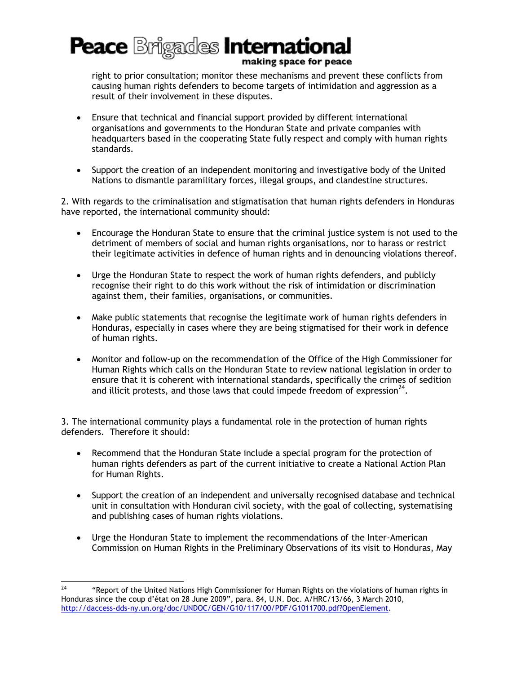making space for peace

right to prior consultation; monitor these mechanisms and prevent these conflicts from causing human rights defenders to become targets of intimidation and aggression as a result of their involvement in these disputes.

- Ensure that technical and financial support provided by different international organisations and governments to the Honduran State and private companies with headquarters based in the cooperating State fully respect and comply with human rights standards.
- Support the creation of an independent monitoring and investigative body of the United Nations to dismantle paramilitary forces, illegal groups, and clandestine structures.

2. With regards to the criminalisation and stigmatisation that human rights defenders in Honduras have reported, the international community should:

- Encourage the Honduran State to ensure that the criminal justice system is not used to the detriment of members of social and human rights organisations, nor to harass or restrict their legitimate activities in defence of human rights and in denouncing violations thereof.
- Urge the Honduran State to respect the work of human rights defenders, and publicly recognise their right to do this work without the risk of intimidation or discrimination against them, their families, organisations, or communities.
- Make public statements that recognise the legitimate work of human rights defenders in Honduras, especially in cases where they are being stigmatised for their work in defence of human rights.
- Monitor and follow-up on the recommendation of the Office of the High Commissioner for Human Rights which calls on the Honduran State to review national legislation in order to ensure that it is coherent with international standards, specifically the crimes of sedition and illicit protests, and those laws that could impede freedom of expression<sup>24</sup>.

3. The international community plays a fundamental role in the protection of human rights defenders. Therefore it should:

- Recommend that the Honduran State include a special program for the protection of human rights defenders as part of the current initiative to create a National Action Plan for Human Rights.
- Support the creation of an independent and universally recognised database and technical unit in consultation with Honduran civil society, with the goal of collecting, systematising and publishing cases of human rights violations.
- Urge the Honduran State to implement the recommendations of the Inter-American Commission on Human Rights in the Preliminary Observations of its visit to Honduras, May

 $24$ <sup>24</sup> "Report of the United Nations High Commissioner for Human Rights on the violations of human rights in Honduras since the coup d'état on 28 June 2009", para. 84, U.N. Doc. A/HRC/13/66, 3 March 2010, [http://daccess-dds-ny.un.org/doc/UNDOC/GEN/G10/117/00/PDF/G1011700.pdf?OpenElement.](http://www.ohchr.org/EN/countries/LACRegion/Pages/HNIndex.aspx)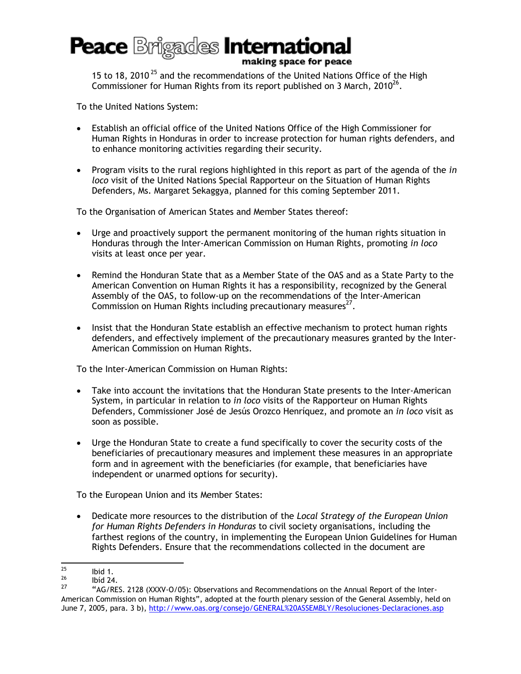making space for peace

15 to 18, 2010<sup>25</sup> and the recommendations of the United Nations Office of the High Commissioner for Human Rights from its report published on 3 March, 2010 $^{26}$ .

To the United Nations System:

- Establish an official office of the United Nations Office of the High Commissioner for Human Rights in Honduras in order to increase protection for human rights defenders, and to enhance monitoring activities regarding their security.
- Program visits to the rural regions highlighted in this report as part of the agenda of the *in loco* visit of the United Nations Special Rapporteur on the Situation of Human Rights Defenders, Ms. Margaret Sekaggya, planned for this coming September 2011.

To the Organisation of American States and Member States thereof:

- Urge and proactively support the permanent monitoring of the human rights situation in Honduras through the Inter-American Commission on Human Rights, promoting *in loco* visits at least once per year.
- Remind the Honduran State that as a Member State of the OAS and as a State Party to the American Convention on Human Rights it has a responsibility, recognized by the General Assembly of the OAS, to follow-up on the recommendations of the Inter-American Commission on Human Rights including precautionary measures $^{27}$ .
- Insist that the Honduran State establish an effective mechanism to protect human rights defenders, and effectively implement of the precautionary measures granted by the Inter-American Commission on Human Rights.

To the Inter-American Commission on Human Rights:

- Take into account the invitations that the Honduran State presents to the Inter-American System, in particular in relation to *in loco* visits of the Rapporteur on Human Rights Defenders, Commissioner José de Jesús Orozco Henríquez, and promote an *in loco* visit as soon as possible.
- Urge the Honduran State to create a fund specifically to cover the security costs of the beneficiaries of precautionary measures and implement these measures in an appropriate form and in agreement with the beneficiaries (for example, that beneficiaries have independent or unarmed options for security).

To the European Union and its Member States:

 Dedicate more resources to the distribution of the *Local Strategy of the European Union for Human Rights Defenders in Honduras* to civil society organisations, including the farthest regions of the country, in implementing the European Union Guidelines for Human Rights Defenders. Ensure that the recommendations collected in the document are

 $25$  $^{25}$  Ibid 1.

 $\frac{26}{27}$  Ibíd 24.

<sup>27</sup> "AG/RES. 2128 (XXXV-O/05): Observations and Recommendations on the Annual Report of the Inter-American Commission on Human Rights", adopted at the fourth plenary session of the General Assembly, held on June 7, 2005, para. 3 b),<http://www.oas.org/consejo/GENERAL%20ASSEMBLY/Resoluciones-Declaraciones.asp>